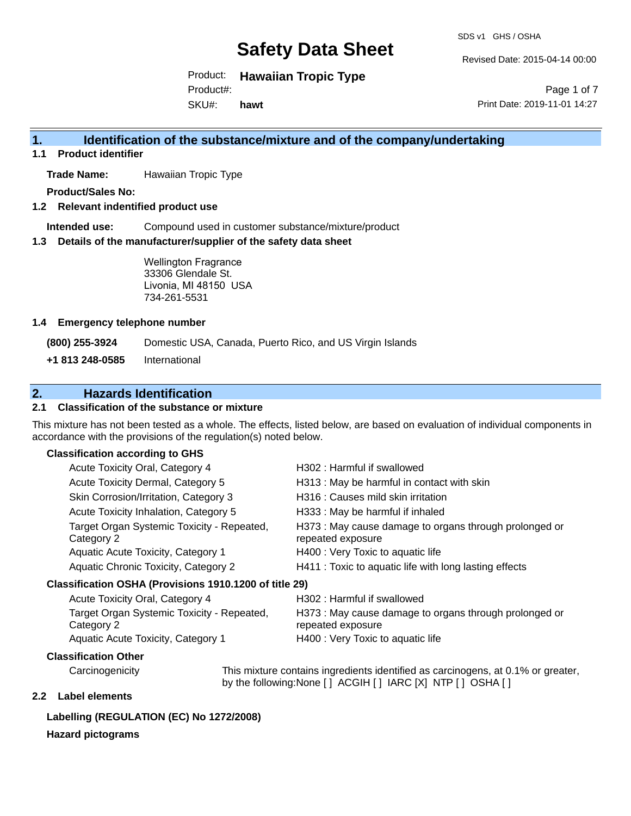SDS v1 GHS / OSHA

Revised Date: 2015-04-14 00:00

Product: **Hawaiian Tropic Type**  SKU#: Product#: **hawt**

Page 1 of 7 Print Date: 2019-11-01 14:27

### **1. Identification of the substance/mixture and of the company/undertaking**

**1.1 Product identifier**

**Trade Name:** Hawaiian Tropic Type

**Product/Sales No:**

**1.2 Relevant indentified product use**

**Intended use:** Compound used in customer substance/mixture/product

**1.3 Details of the manufacturer/supplier of the safety data sheet**

Wellington Fragrance 33306 Glendale St. Livonia, MI 48150 USA 734-261-5531

#### **1.4 Emergency telephone number**

**(800) 255-3924** Domestic USA, Canada, Puerto Rico, and US Virgin Islands

**+1 813 248-0585** International

### **2. Hazards Identification**

#### **2.1 Classification of the substance or mixture**

This mixture has not been tested as a whole. The effects, listed below, are based on evaluation of individual components in accordance with the provisions of the regulation(s) noted below.

#### **Classification according to GHS**

| Acute Toxicity Oral, Category 4                          | H302: Harmful if swallowed                                                  |
|----------------------------------------------------------|-----------------------------------------------------------------------------|
| Acute Toxicity Dermal, Category 5                        | H313 : May be harmful in contact with skin                                  |
| Skin Corrosion/Irritation, Category 3                    | H316 : Causes mild skin irritation                                          |
| Acute Toxicity Inhalation, Category 5                    | H333: May be harmful if inhaled                                             |
| Target Organ Systemic Toxicity - Repeated,<br>Category 2 | H373 : May cause damage to organs through prolonged or<br>repeated exposure |
| Aquatic Acute Toxicity, Category 1                       | H400 : Very Toxic to aquatic life                                           |
| Aquatic Chronic Toxicity, Category 2                     | H411 : Toxic to aquatic life with long lasting effects                      |
| Classification OSHA (Provisions 1910.1200 of title 29)   |                                                                             |
| Acute Toxicity Oral, Category 4                          | H302: Harmful if swallowed                                                  |
|                                                          |                                                                             |

| Target Organ Systemic Toxicity - Repeated, | H373 : May cause damage to organs through prolonged or |
|--------------------------------------------|--------------------------------------------------------|
| Category 2                                 | repeated exposure                                      |
| Aquatic Acute Toxicity, Category 1         | H400 : Very Toxic to aquatic life                      |

#### **Classification Other**

Carcinogenicity This mixture contains ingredients identified as carcinogens, at 0.1% or greater, by the following:None [ ] ACGIH [ ] IARC [X] NTP [ ] OSHA [ ]

#### **2.2 Label elements**

#### **Labelling (REGULATION (EC) No 1272/2008)**

#### **Hazard pictograms**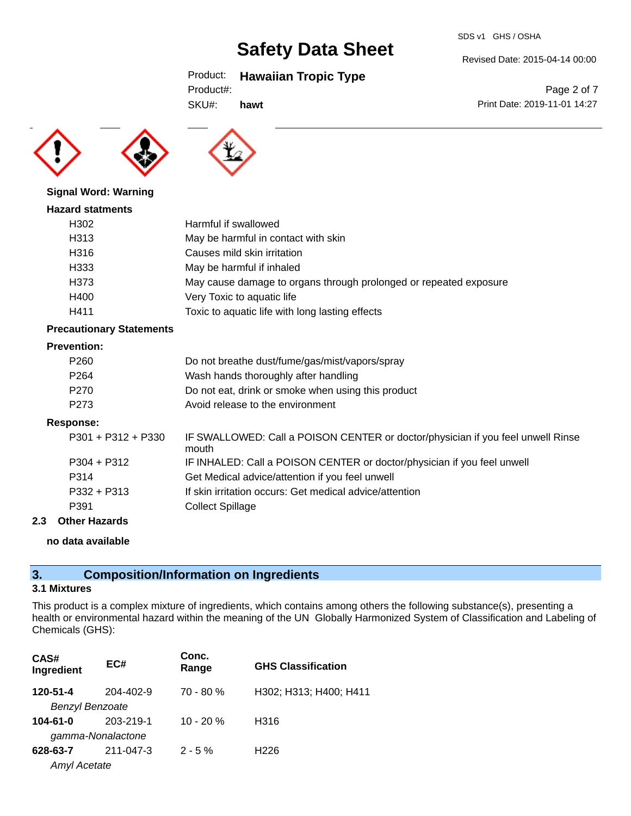#### Revised Date: 2015-04-14 00:00

Print Date: 2019-11-01 14:27

Page 2 of 7

Product: **Hawaiian Tropic Type** 

SKU#: **hawt**





#### **Signal Word: Warning**

#### **Hazard statments**

| .    |                                                                   |
|------|-------------------------------------------------------------------|
| H302 | Harmful if swallowed                                              |
| H313 | May be harmful in contact with skin                               |
| H316 | Causes mild skin irritation                                       |
| H333 | May be harmful if inhaled                                         |
| H373 | May cause damage to organs through prolonged or repeated exposure |
| H400 | Very Toxic to aquatic life                                        |
| H411 | Toxic to aquatic life with long lasting effects                   |

#### **Precautionary Statements**

#### **Prevention:**

| P <sub>260</sub> | Do not breathe dust/fume/gas/mist/vapors/spray     |
|------------------|----------------------------------------------------|
| P <sub>264</sub> | Wash hands thoroughly after handling               |
| P <sub>270</sub> | Do not eat, drink or smoke when using this product |
| P <sub>273</sub> | Avoid release to the environment                   |
|                  |                                                    |

#### **Response:**

| P301 + P312 + P330 | IF SWALLOWED: Call a POISON CENTER or doctor/physician if you feel unwell Rinse<br>mouth |
|--------------------|------------------------------------------------------------------------------------------|
| P304 + P312        | IF INHALED: Call a POISON CENTER or doctor/physician if you feel unwell                  |
| P314               | Get Medical advice/attention if you feel unwell                                          |
| P332 + P313        | If skin irritation occurs: Get medical advice/attention                                  |
| P391               | <b>Collect Spillage</b>                                                                  |

#### **2.3 Other Hazards**

**no data available**

## **3. Composition/Information on Ingredients**

#### **3.1 Mixtures**

This product is a complex mixture of ingredients, which contains among others the following substance(s), presenting a health or environmental hazard within the meaning of the UN Globally Harmonized System of Classification and Labeling of Chemicals (GHS):

| CAS#<br>Ingredient     | EC#       | Conc.<br>Range | <b>GHS Classification</b> |
|------------------------|-----------|----------------|---------------------------|
| 120-51-4               | 204-402-9 | $70 - 80 %$    | H302; H313; H400; H411    |
| <b>Benzyl Benzoate</b> |           |                |                           |
| $104 - 61 - 0$         | 203-219-1 | $10 - 20 %$    | H316                      |
| gamma-Nonalactone      |           |                |                           |
| 628-63-7               | 211-047-3 | $2 - 5%$       | H <sub>226</sub>          |
| <b>Amyl Acetate</b>    |           |                |                           |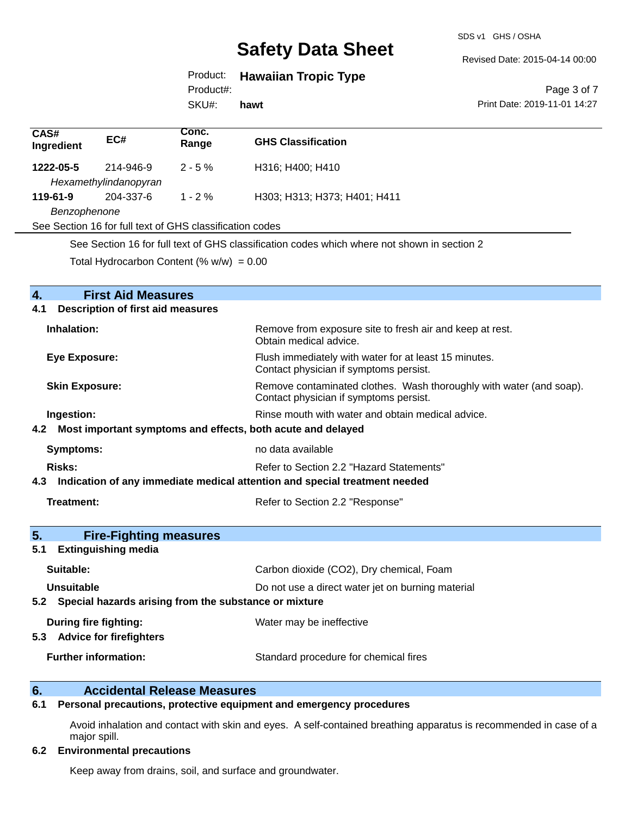SDS v1 GHS / OSHA

Revised Date: 2015-04-14 00:00

## Product: **Hawaiian Tropic Type**

Product#:

SKU#: **hawt**

#### Page 3 of 7 Print Date: 2019-11-01 14:27

| CAS#<br>Ingredient                                                                          | EC#                   | Conc.<br>Range | <b>GHS Classification</b>    |
|---------------------------------------------------------------------------------------------|-----------------------|----------------|------------------------------|
| 1222-05-5                                                                                   | 214-946-9             | $2 - 5 \%$     | H316; H400; H410             |
|                                                                                             | Hexamethylindanopyran |                |                              |
| 119-61-9                                                                                    | 204-337-6             | $1 - 2\%$      | H303; H313; H373; H401; H411 |
| Benzophenone                                                                                |                       |                |                              |
| See Section 16 for full text of GHS classification codes                                    |                       |                |                              |
| See Section 16 for full text of GHS classification codes which where not shown in section 2 |                       |                |                              |

Total Hydrocarbon Content  $(\% w/w) = 0.00$ 

| <b>First Aid Measures</b><br>4.                                                   |                                                                                                               |
|-----------------------------------------------------------------------------------|---------------------------------------------------------------------------------------------------------------|
| <b>Description of first aid measures</b><br>4.1                                   |                                                                                                               |
| Inhalation:                                                                       | Remove from exposure site to fresh air and keep at rest.<br>Obtain medical advice.                            |
| <b>Eye Exposure:</b>                                                              | Flush immediately with water for at least 15 minutes.<br>Contact physician if symptoms persist.               |
| <b>Skin Exposure:</b>                                                             | Remove contaminated clothes. Wash thoroughly with water (and soap).<br>Contact physician if symptoms persist. |
| Ingestion:                                                                        | Rinse mouth with water and obtain medical advice.                                                             |
| Most important symptoms and effects, both acute and delayed<br>4.2                |                                                                                                               |
| <b>Symptoms:</b>                                                                  | no data available                                                                                             |
| Risks:                                                                            | Refer to Section 2.2 "Hazard Statements"                                                                      |
| Indication of any immediate medical attention and special treatment needed<br>4.3 |                                                                                                               |
| Treatment:                                                                        | Refer to Section 2.2 "Response"                                                                               |
|                                                                                   |                                                                                                               |
| 5.<br><b>Fire-Fighting measures</b>                                               |                                                                                                               |
| <b>Extinguishing media</b><br>5.1                                                 |                                                                                                               |
| Suitable:                                                                         | Carbon dioxide (CO2), Dry chemical, Foam                                                                      |
| <b>Unsuitable</b>                                                                 | Do not use a direct water jet on burning material                                                             |
| 5.2 Special hazards arising from the substance or mixture                         |                                                                                                               |
| <b>During fire fighting:</b><br><b>Advice for firefighters</b><br>5.3             | Water may be ineffective                                                                                      |
| <b>Further information:</b>                                                       | Standard procedure for chemical fires                                                                         |

# **6. Accidental Release Measures**<br>**6.1** Personal precautions, protective equipm

#### **6.1 Personal precautions, protective equipment and emergency procedures**

Avoid inhalation and contact with skin and eyes. A self-contained breathing apparatus is recommended in case of a major spill.

#### **6.2 Environmental precautions**

Keep away from drains, soil, and surface and groundwater.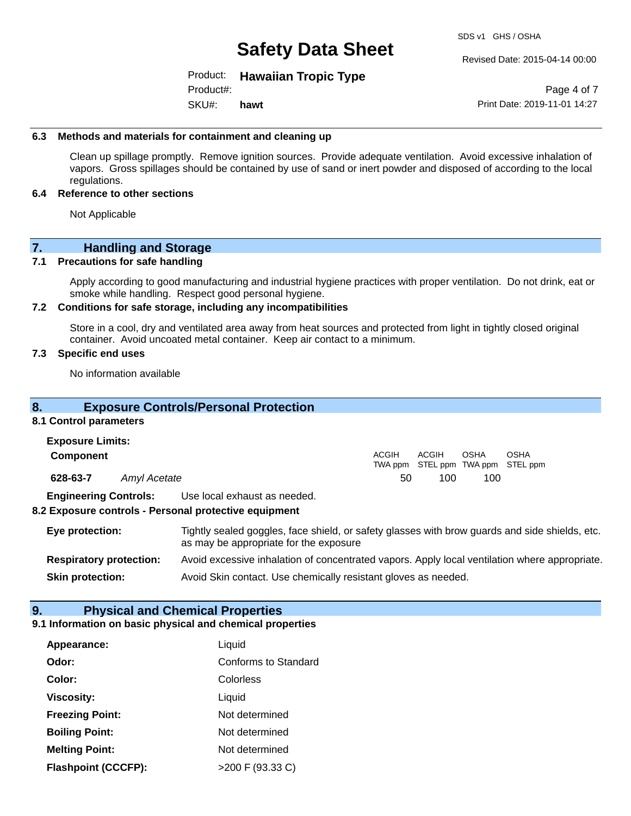Revised Date: 2015-04-14 00:00

Product: **Hawaiian Tropic Type**  Product#:

SKU#: **hawt**

Page 4 of 7 Print Date: 2019-11-01 14:27

#### **6.3 Methods and materials for containment and cleaning up**

Clean up spillage promptly. Remove ignition sources. Provide adequate ventilation. Avoid excessive inhalation of vapors. Gross spillages should be contained by use of sand or inert powder and disposed of according to the local regulations.

#### **6.4 Reference to other sections**

Not Applicable

### **7. Handling and Storage**

#### **7.1 Precautions for safe handling**

Apply according to good manufacturing and industrial hygiene practices with proper ventilation. Do not drink, eat or smoke while handling. Respect good personal hygiene.

#### **7.2 Conditions for safe storage, including any incompatibilities**

Store in a cool, dry and ventilated area away from heat sources and protected from light in tightly closed original container. Avoid uncoated metal container. Keep air contact to a minimum.

#### **7.3 Specific end uses**

No information available

### **8. Exposure Controls/Personal Protection**

#### **8.1 Control parameters**

| <b>Exposure Limits:</b>      |              |                                                                                       |              |       |                                           |      |
|------------------------------|--------------|---------------------------------------------------------------------------------------|--------------|-------|-------------------------------------------|------|
| <b>Component</b>             |              |                                                                                       | <b>ACGIH</b> | ACGIH | OSHA<br>TWA ppm STEL ppm TWA ppm STEL ppm | OSHA |
| 628-63-7                     | Amyl Acetate |                                                                                       | 50           | 100   | 100                                       |      |
| <b>Engineering Controls:</b> |              | Use local exhaust as needed.<br>8.2 Exposure controls - Personal protective equipment |              |       |                                           |      |

**Eye protection:** Tightly sealed goggles, face shield, or safety glasses with brow guards and side shields, etc. as may be appropriate for the exposure **Respiratory protection:** Avoid excessive inhalation of concentrated vapors. Apply local ventilation where appropriate.

**Skin protection:** Avoid Skin contact. Use chemically resistant gloves as needed.

## **9. Physical and Chemical Properties**

#### **9.1 Information on basic physical and chemical properties**

| Appearance:                | Liquid               |
|----------------------------|----------------------|
| Odor:                      | Conforms to Standard |
| Color:                     | Colorless            |
| <b>Viscosity:</b>          | Liquid               |
| <b>Freezing Point:</b>     | Not determined       |
| <b>Boiling Point:</b>      | Not determined       |
| <b>Melting Point:</b>      | Not determined       |
| <b>Flashpoint (CCCFP):</b> | >200 F (93.33 C)     |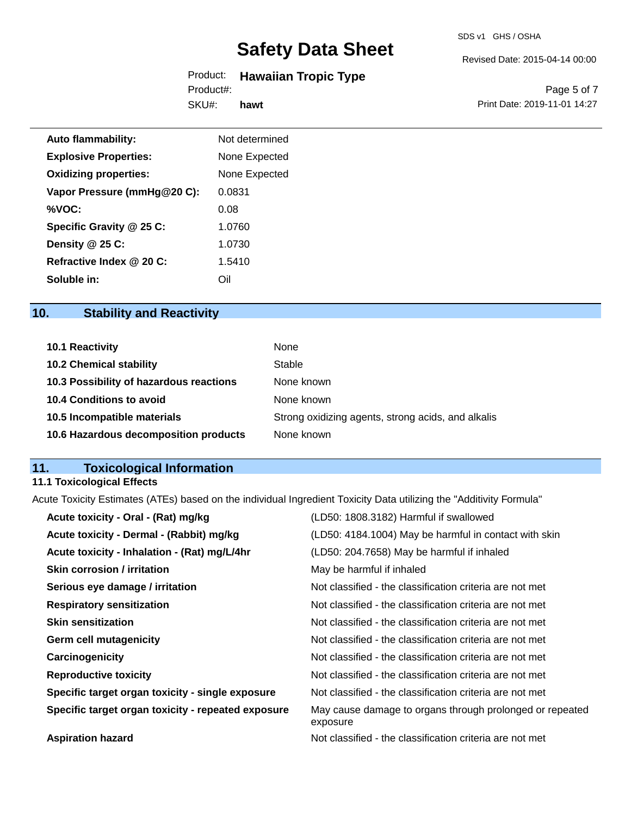#### Revised Date: 2015-04-14 00:00

#### Product: **Hawaiian Tropic Type**  SKU#: Product#: **hawt**

Page 5 of 7 Print Date: 2019-11-01 14:27

| <b>Auto flammability:</b>    | Not determined |
|------------------------------|----------------|
| <b>Explosive Properties:</b> | None Expected  |
| <b>Oxidizing properties:</b> | None Expected  |
| Vapor Pressure (mmHg@20 C):  | 0.0831         |
| %VOC:                        | 0.08           |
| Specific Gravity @ 25 C:     | 1.0760         |
| Density @ 25 C:              | 1.0730         |
| Refractive Index @ 20 C:     | 1.5410         |
| Soluble in:                  | Oil            |

## **10. Stability and Reactivity**

| <b>10.1 Reactivity</b>                  | None                                               |
|-----------------------------------------|----------------------------------------------------|
| <b>10.2 Chemical stability</b>          | Stable                                             |
| 10.3 Possibility of hazardous reactions | None known                                         |
| <b>10.4 Conditions to avoid</b>         | None known                                         |
| 10.5 Incompatible materials             | Strong oxidizing agents, strong acids, and alkalis |
| 10.6 Hazardous decomposition products   | None known                                         |

## **11. Toxicological Information**

## **11.1 Toxicological Effects**

Acute Toxicity Estimates (ATEs) based on the individual Ingredient Toxicity Data utilizing the "Additivity Formula"

| Acute toxicity - Oral - (Rat) mg/kg                | (LD50: 1808.3182) Harmful if swallowed                               |
|----------------------------------------------------|----------------------------------------------------------------------|
| Acute toxicity - Dermal - (Rabbit) mg/kg           | (LD50: 4184.1004) May be harmful in contact with skin                |
| Acute toxicity - Inhalation - (Rat) mg/L/4hr       | (LD50: 204.7658) May be harmful if inhaled                           |
| <b>Skin corrosion / irritation</b>                 | May be harmful if inhaled                                            |
| Serious eye damage / irritation                    | Not classified - the classification criteria are not met             |
| <b>Respiratory sensitization</b>                   | Not classified - the classification criteria are not met             |
| <b>Skin sensitization</b>                          | Not classified - the classification criteria are not met             |
| <b>Germ cell mutagenicity</b>                      | Not classified - the classification criteria are not met             |
| Carcinogenicity                                    | Not classified - the classification criteria are not met             |
| <b>Reproductive toxicity</b>                       | Not classified - the classification criteria are not met             |
| Specific target organ toxicity - single exposure   | Not classified - the classification criteria are not met             |
| Specific target organ toxicity - repeated exposure | May cause damage to organs through prolonged or repeated<br>exposure |
| <b>Aspiration hazard</b>                           | Not classified - the classification criteria are not met             |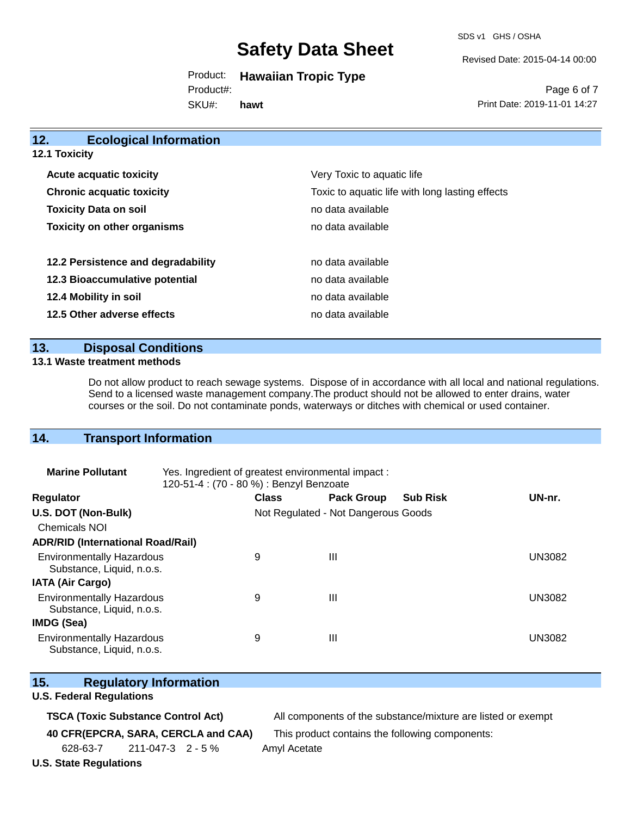SDS v1 GHS / OSHA

Revised Date: 2015-04-14 00:00

Product: **Hawaiian Tropic Type**  SKU#: Product#: **hawt**

Page 6 of 7 Print Date: 2019-11-01 14:27

| 12.                  | <b>Ecological Information</b>      |                                                 |
|----------------------|------------------------------------|-------------------------------------------------|
| <b>12.1 Toxicity</b> |                                    |                                                 |
|                      | <b>Acute acquatic toxicity</b>     | Very Toxic to aquatic life                      |
|                      | <b>Chronic acquatic toxicity</b>   | Toxic to aquatic life with long lasting effects |
|                      | <b>Toxicity Data on soil</b>       | no data available                               |
|                      | <b>Toxicity on other organisms</b> | no data available                               |
|                      | 12.2 Persistence and degradability | no data available                               |
|                      | 12.3 Bioaccumulative potential     | no data available                               |
|                      | 12.4 Mobility in soil              | no data available                               |
|                      | 12.5 Other adverse effects         | no data available                               |

### **13. Disposal Conditions**

#### **13.1 Waste treatment methods**

Do not allow product to reach sewage systems. Dispose of in accordance with all local and national regulations. Send to a licensed waste management company.The product should not be allowed to enter drains, water courses or the soil. Do not contaminate ponds, waterways or ditches with chemical or used container.

### **14. Transport Information**

| <b>Marine Pollutant</b>                                       | Yes. Ingredient of greatest environmental impact:<br>120-51-4 : (70 - 80 %) : Benzyl Benzoate |              |                                     |                 |               |
|---------------------------------------------------------------|-----------------------------------------------------------------------------------------------|--------------|-------------------------------------|-----------------|---------------|
| <b>Regulator</b>                                              |                                                                                               | <b>Class</b> | <b>Pack Group</b>                   | <b>Sub Risk</b> | UN-nr.        |
| U.S. DOT (Non-Bulk)                                           |                                                                                               |              | Not Regulated - Not Dangerous Goods |                 |               |
| <b>Chemicals NOI</b>                                          |                                                                                               |              |                                     |                 |               |
| <b>ADR/RID (International Road/Rail)</b>                      |                                                                                               |              |                                     |                 |               |
| <b>Environmentally Hazardous</b><br>Substance, Liquid, n.o.s. |                                                                                               | 9            | Ш                                   |                 | <b>UN3082</b> |
| <b>IATA (Air Cargo)</b>                                       |                                                                                               |              |                                     |                 |               |
| <b>Environmentally Hazardous</b><br>Substance, Liquid, n.o.s. |                                                                                               | 9            | Ш                                   |                 | <b>UN3082</b> |
| IMDG (Sea)                                                    |                                                                                               |              |                                     |                 |               |
| <b>Environmentally Hazardous</b><br>Substance, Liquid, n.o.s. |                                                                                               | 9            | Ш                                   |                 | UN3082        |

### **15. Regulatory Information**

#### **U.S. Federal Regulations**

**TSCA (Toxic Substance Control Act)** All components of the substance/mixture are listed or exempt

**40 CFR(EPCRA, SARA, CERCLA and CAA)** This product contains the following components:

628-63-7 211-047-3 2 - 5 % Amyl Acetate

**U.S. State Regulations**